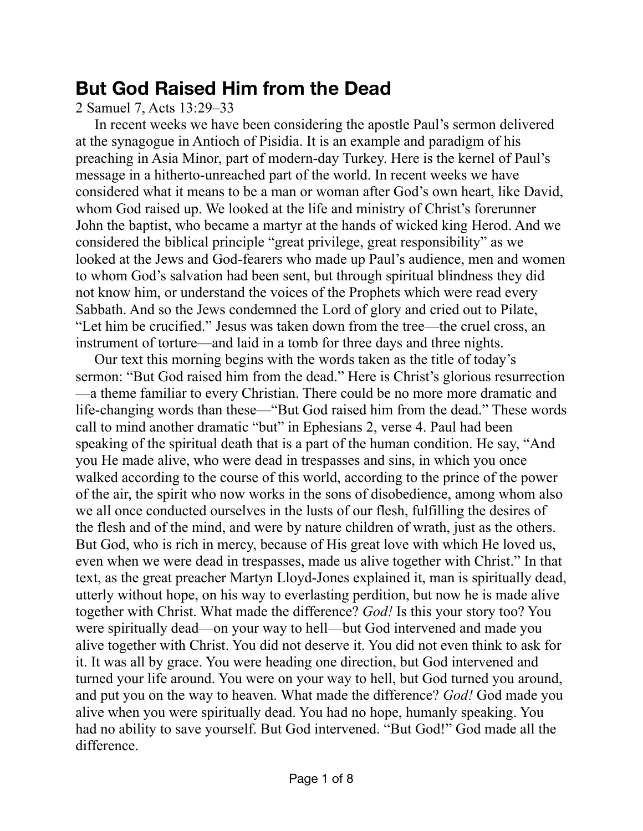# **But God Raised Him from the Dead**

2 Samuel 7, Acts 13:29–33

In recent weeks we have been considering the apostle Paul's sermon delivered at the synagogue in Antioch of Pisidia. It is an example and paradigm of his preaching in Asia Minor, part of modern-day Turkey. Here is the kernel of Paul's message in a hitherto-unreached part of the world. In recent weeks we have considered what it means to be a man or woman after God's own heart, like David, whom God raised up. We looked at the life and ministry of Christ's forerunner John the baptist, who became a martyr at the hands of wicked king Herod. And we considered the biblical principle "great privilege, great responsibility" as we looked at the Jews and God-fearers who made up Paul's audience, men and women to whom God's salvation had been sent, but through spiritual blindness they did not know him, or understand the voices of the Prophets which were read every Sabbath. And so the Jews condemned the Lord of glory and cried out to Pilate, "Let him be crucified." Jesus was taken down from the tree—the cruel cross, an instrument of torture—and laid in a tomb for three days and three nights.

Our text this morning begins with the words taken as the title of today's sermon: "But God raised him from the dead." Here is Christ's glorious resurrection —a theme familiar to every Christian. There could be no more more dramatic and life-changing words than these—"But God raised him from the dead." These words call to mind another dramatic "but" in Ephesians 2, verse 4. Paul had been speaking of the spiritual death that is a part of the human condition. He say, "And you He made alive, who were dead in trespasses and sins, in which you once walked according to the course of this world, according to the prince of the power of the air, the spirit who now works in the sons of disobedience, among whom also we all once conducted ourselves in the lusts of our flesh, fulfilling the desires of the flesh and of the mind, and were by nature children of wrath, just as the others. But God, who is rich in mercy, because of His great love with which He loved us, even when we were dead in trespasses, made us alive together with Christ." In that text, as the great preacher Martyn Lloyd-Jones explained it, man is spiritually dead, utterly without hope, on his way to everlasting perdition, but now he is made alive together with Christ. What made the difference? *God!* Is this your story too? You were spiritually dead—on your way to hell—but God intervened and made you alive together with Christ. You did not deserve it. You did not even think to ask for it. It was all by grace. You were heading one direction, but God intervened and turned your life around. You were on your way to hell, but God turned you around, and put you on the way to heaven. What made the difference? *God!* God made you alive when you were spiritually dead. You had no hope, humanly speaking. You had no ability to save yourself. But God intervened. "But God!" God made all the difference.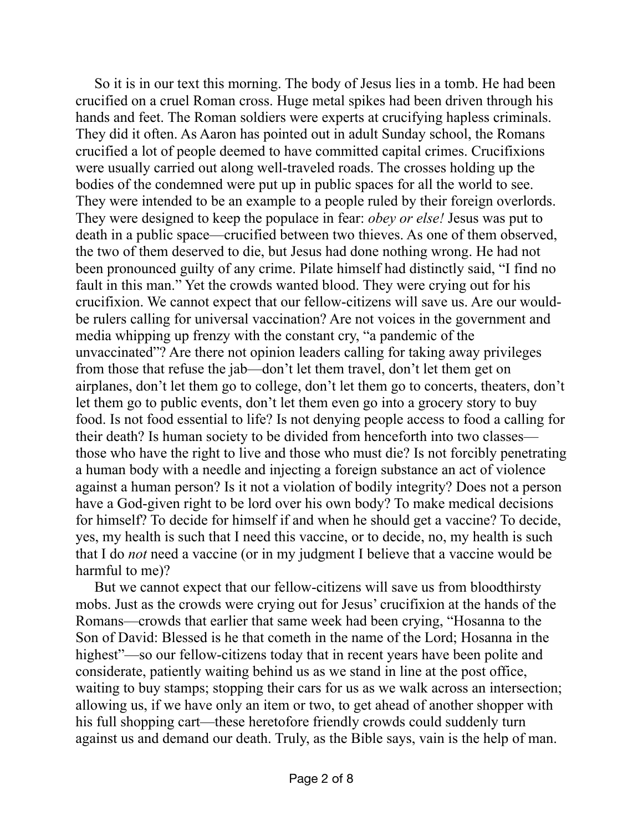So it is in our text this morning. The body of Jesus lies in a tomb. He had been crucified on a cruel Roman cross. Huge metal spikes had been driven through his hands and feet. The Roman soldiers were experts at crucifying hapless criminals. They did it often. As Aaron has pointed out in adult Sunday school, the Romans crucified a lot of people deemed to have committed capital crimes. Crucifixions were usually carried out along well-traveled roads. The crosses holding up the bodies of the condemned were put up in public spaces for all the world to see. They were intended to be an example to a people ruled by their foreign overlords. They were designed to keep the populace in fear: *obey or else!* Jesus was put to death in a public space—crucified between two thieves. As one of them observed, the two of them deserved to die, but Jesus had done nothing wrong. He had not been pronounced guilty of any crime. Pilate himself had distinctly said, "I find no fault in this man." Yet the crowds wanted blood. They were crying out for his crucifixion. We cannot expect that our fellow-citizens will save us. Are our wouldbe rulers calling for universal vaccination? Are not voices in the government and media whipping up frenzy with the constant cry, "a pandemic of the unvaccinated"? Are there not opinion leaders calling for taking away privileges from those that refuse the jab—don't let them travel, don't let them get on airplanes, don't let them go to college, don't let them go to concerts, theaters, don't let them go to public events, don't let them even go into a grocery story to buy food. Is not food essential to life? Is not denying people access to food a calling for their death? Is human society to be divided from henceforth into two classes those who have the right to live and those who must die? Is not forcibly penetrating a human body with a needle and injecting a foreign substance an act of violence against a human person? Is it not a violation of bodily integrity? Does not a person have a God-given right to be lord over his own body? To make medical decisions for himself? To decide for himself if and when he should get a vaccine? To decide, yes, my health is such that I need this vaccine, or to decide, no, my health is such that I do *not* need a vaccine (or in my judgment I believe that a vaccine would be harmful to me)?

But we cannot expect that our fellow-citizens will save us from bloodthirsty mobs. Just as the crowds were crying out for Jesus' crucifixion at the hands of the Romans—crowds that earlier that same week had been crying, "Hosanna to the Son of David: Blessed is he that cometh in the name of the Lord; Hosanna in the highest"—so our fellow-citizens today that in recent years have been polite and considerate, patiently waiting behind us as we stand in line at the post office, waiting to buy stamps; stopping their cars for us as we walk across an intersection; allowing us, if we have only an item or two, to get ahead of another shopper with his full shopping cart—these heretofore friendly crowds could suddenly turn against us and demand our death. Truly, as the Bible says, vain is the help of man.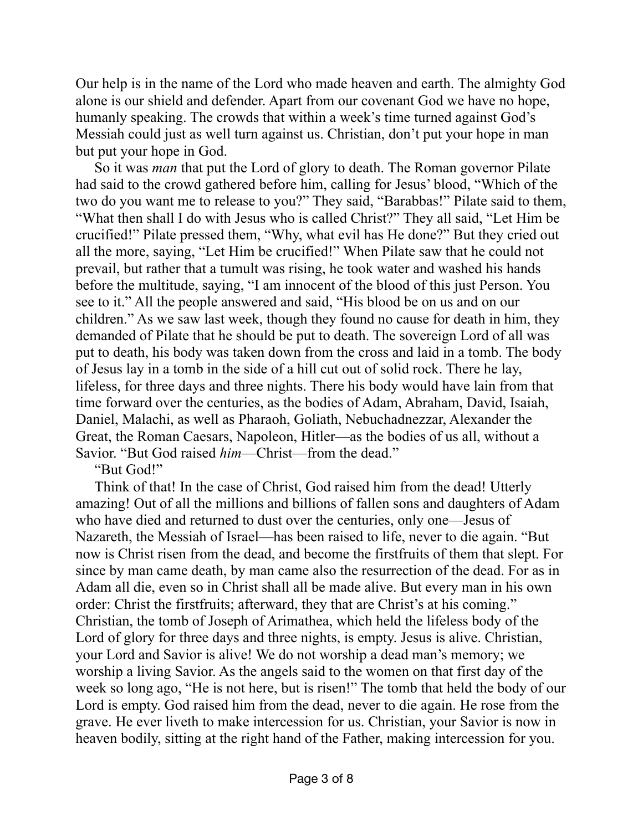Our help is in the name of the Lord who made heaven and earth. The almighty God alone is our shield and defender. Apart from our covenant God we have no hope, humanly speaking. The crowds that within a week's time turned against God's Messiah could just as well turn against us. Christian, don't put your hope in man but put your hope in God.

So it was *man* that put the Lord of glory to death. The Roman governor Pilate had said to the crowd gathered before him, calling for Jesus' blood, "Which of the two do you want me to release to you?" They said, "Barabbas!" Pilate said to them, "What then shall I do with Jesus who is called Christ?" They all said, "Let Him be crucified!" Pilate pressed them, "Why, what evil has He done?" But they cried out all the more, saying, "Let Him be crucified!" When Pilate saw that he could not prevail, but rather that a tumult was rising, he took water and washed his hands before the multitude, saying, "I am innocent of the blood of this just Person. You see to it." All the people answered and said, "His blood be on us and on our children." As we saw last week, though they found no cause for death in him, they demanded of Pilate that he should be put to death. The sovereign Lord of all was put to death, his body was taken down from the cross and laid in a tomb. The body of Jesus lay in a tomb in the side of a hill cut out of solid rock. There he lay, lifeless, for three days and three nights. There his body would have lain from that time forward over the centuries, as the bodies of Adam, Abraham, David, Isaiah, Daniel, Malachi, as well as Pharaoh, Goliath, Nebuchadnezzar, Alexander the Great, the Roman Caesars, Napoleon, Hitler—as the bodies of us all, without a Savior. "But God raised *him*—Christ—from the dead."

"But God!"

Think of that! In the case of Christ, God raised him from the dead! Utterly amazing! Out of all the millions and billions of fallen sons and daughters of Adam who have died and returned to dust over the centuries, only one—Jesus of Nazareth, the Messiah of Israel—has been raised to life, never to die again. "But now is Christ risen from the dead, and become the firstfruits of them that slept. For since by man came death, by man came also the resurrection of the dead. For as in Adam all die, even so in Christ shall all be made alive. But every man in his own order: Christ the firstfruits; afterward, they that are Christ's at his coming." Christian, the tomb of Joseph of Arimathea, which held the lifeless body of the Lord of glory for three days and three nights, is empty. Jesus is alive. Christian, your Lord and Savior is alive! We do not worship a dead man's memory; we worship a living Savior. As the angels said to the women on that first day of the week so long ago, "He is not here, but is risen!" The tomb that held the body of our Lord is empty. God raised him from the dead, never to die again. He rose from the grave. He ever liveth to make intercession for us. Christian, your Savior is now in heaven bodily, sitting at the right hand of the Father, making intercession for you.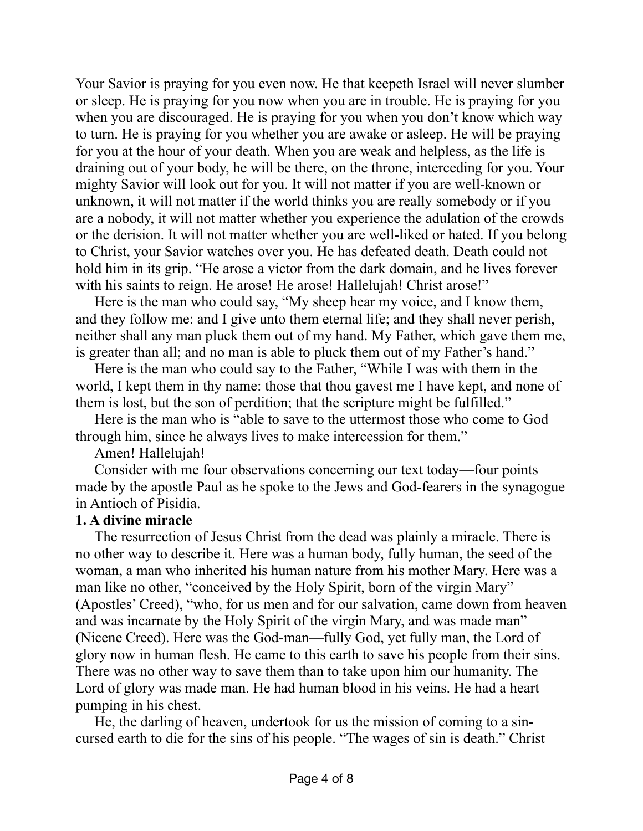Your Savior is praying for you even now. He that keepeth Israel will never slumber or sleep. He is praying for you now when you are in trouble. He is praying for you when you are discouraged. He is praying for you when you don't know which way to turn. He is praying for you whether you are awake or asleep. He will be praying for you at the hour of your death. When you are weak and helpless, as the life is draining out of your body, he will be there, on the throne, interceding for you. Your mighty Savior will look out for you. It will not matter if you are well-known or unknown, it will not matter if the world thinks you are really somebody or if you are a nobody, it will not matter whether you experience the adulation of the crowds or the derision. It will not matter whether you are well-liked or hated. If you belong to Christ, your Savior watches over you. He has defeated death. Death could not hold him in its grip. "He arose a victor from the dark domain, and he lives forever with his saints to reign. He arose! He arose! Hallelujah! Christ arose!"

Here is the man who could say, "My sheep hear my voice, and I know them, and they follow me: and I give unto them eternal life; and they shall never perish, neither shall any man pluck them out of my hand. My Father, which gave them me, is greater than all; and no man is able to pluck them out of my Father's hand."

Here is the man who could say to the Father, "While I was with them in the world, I kept them in thy name: those that thou gavest me I have kept, and none of them is lost, but the son of perdition; that the scripture might be fulfilled."

Here is the man who is "able to save to the uttermost those who come to God through him, since he always lives to make intercession for them."

Amen! Hallelujah!

Consider with me four observations concerning our text today—four points made by the apostle Paul as he spoke to the Jews and God-fearers in the synagogue in Antioch of Pisidia.

#### **1. A divine miracle**

The resurrection of Jesus Christ from the dead was plainly a miracle. There is no other way to describe it. Here was a human body, fully human, the seed of the woman, a man who inherited his human nature from his mother Mary. Here was a man like no other, "conceived by the Holy Spirit, born of the virgin Mary" (Apostles' Creed), "who, for us men and for our salvation, came down from heaven and was incarnate by the Holy Spirit of the virgin Mary, and was made man" (Nicene Creed). Here was the God-man—fully God, yet fully man, the Lord of glory now in human flesh. He came to this earth to save his people from their sins. There was no other way to save them than to take upon him our humanity. The Lord of glory was made man. He had human blood in his veins. He had a heart pumping in his chest.

He, the darling of heaven, undertook for us the mission of coming to a sincursed earth to die for the sins of his people. "The wages of sin is death." Christ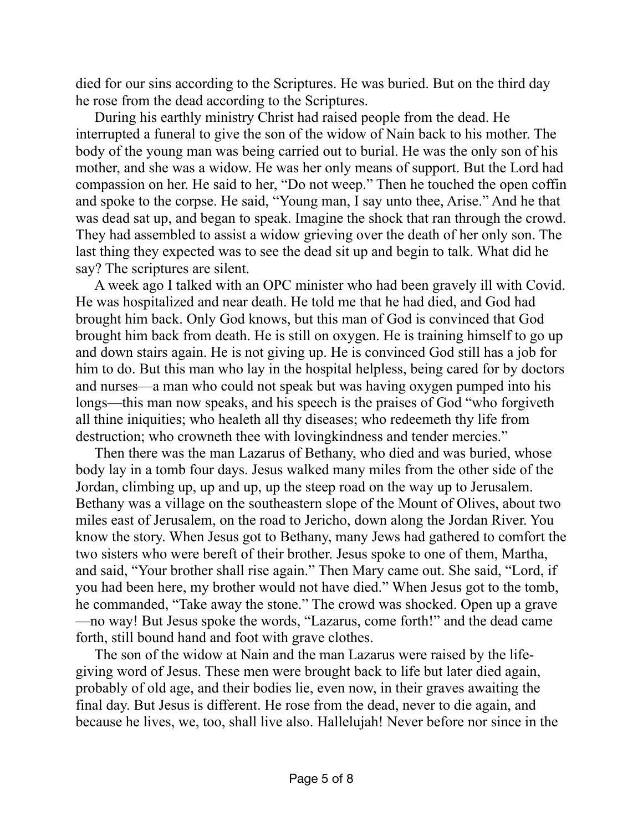died for our sins according to the Scriptures. He was buried. But on the third day he rose from the dead according to the Scriptures.

During his earthly ministry Christ had raised people from the dead. He interrupted a funeral to give the son of the widow of Nain back to his mother. The body of the young man was being carried out to burial. He was the only son of his mother, and she was a widow. He was her only means of support. But the Lord had compassion on her. He said to her, "Do not weep." Then he touched the open coffin and spoke to the corpse. He said, "Young man, I say unto thee, Arise." And he that was dead sat up, and began to speak. Imagine the shock that ran through the crowd. They had assembled to assist a widow grieving over the death of her only son. The last thing they expected was to see the dead sit up and begin to talk. What did he say? The scriptures are silent.

A week ago I talked with an OPC minister who had been gravely ill with Covid. He was hospitalized and near death. He told me that he had died, and God had brought him back. Only God knows, but this man of God is convinced that God brought him back from death. He is still on oxygen. He is training himself to go up and down stairs again. He is not giving up. He is convinced God still has a job for him to do. But this man who lay in the hospital helpless, being cared for by doctors and nurses—a man who could not speak but was having oxygen pumped into his longs—this man now speaks, and his speech is the praises of God "who forgiveth all thine iniquities; who healeth all thy diseases; who redeemeth thy life from destruction; who crowneth thee with lovingkindness and tender mercies."

Then there was the man Lazarus of Bethany, who died and was buried, whose body lay in a tomb four days. Jesus walked many miles from the other side of the Jordan, climbing up, up and up, up the steep road on the way up to Jerusalem. Bethany was a village on the southeastern slope of the Mount of Olives, about two miles east of Jerusalem, on the road to Jericho, down along the Jordan River. You know the story. When Jesus got to Bethany, many Jews had gathered to comfort the two sisters who were bereft of their brother. Jesus spoke to one of them, Martha, and said, "Your brother shall rise again." Then Mary came out. She said, "Lord, if you had been here, my brother would not have died." When Jesus got to the tomb, he commanded, "Take away the stone." The crowd was shocked. Open up a grave —no way! But Jesus spoke the words, "Lazarus, come forth!" and the dead came forth, still bound hand and foot with grave clothes.

The son of the widow at Nain and the man Lazarus were raised by the lifegiving word of Jesus. These men were brought back to life but later died again, probably of old age, and their bodies lie, even now, in their graves awaiting the final day. But Jesus is different. He rose from the dead, never to die again, and because he lives, we, too, shall live also. Hallelujah! Never before nor since in the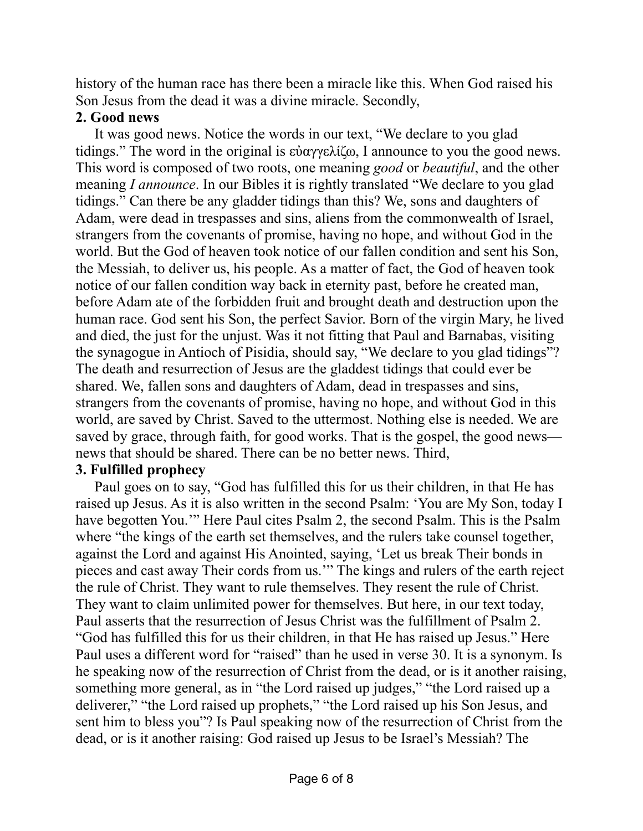history of the human race has there been a miracle like this. When God raised his Son Jesus from the dead it was a divine miracle. Secondly,

### **2. Good news**

It was good news. Notice the words in our text, "We declare to you glad tidings." The word in the original is εὐαγγελίζω, I announce to you the good news. This word is composed of two roots, one meaning *good* or *beautiful*, and the other meaning *I announce*. In our Bibles it is rightly translated "We declare to you glad tidings." Can there be any gladder tidings than this? We, sons and daughters of Adam, were dead in trespasses and sins, aliens from the commonwealth of Israel, strangers from the covenants of promise, having no hope, and without God in the world. But the God of heaven took notice of our fallen condition and sent his Son, the Messiah, to deliver us, his people. As a matter of fact, the God of heaven took notice of our fallen condition way back in eternity past, before he created man, before Adam ate of the forbidden fruit and brought death and destruction upon the human race. God sent his Son, the perfect Savior. Born of the virgin Mary, he lived and died, the just for the unjust. Was it not fitting that Paul and Barnabas, visiting the synagogue in Antioch of Pisidia, should say, "We declare to you glad tidings"? The death and resurrection of Jesus are the gladdest tidings that could ever be shared. We, fallen sons and daughters of Adam, dead in trespasses and sins, strangers from the covenants of promise, having no hope, and without God in this world, are saved by Christ. Saved to the uttermost. Nothing else is needed. We are saved by grace, through faith, for good works. That is the gospel, the good news news that should be shared. There can be no better news. Third,

## **3. Fulfilled prophecy**

Paul goes on to say, "God has fulfilled this for us their children, in that He has raised up Jesus. As it is also written in the second Psalm: 'You are My Son, today I have begotten You.'" Here Paul cites Psalm 2, the second Psalm. This is the Psalm where "the kings of the earth set themselves, and the rulers take counsel together, against the Lord and against His Anointed, saying, 'Let us break Their bonds in pieces and cast away Their cords from us.'" The kings and rulers of the earth reject the rule of Christ. They want to rule themselves. They resent the rule of Christ. They want to claim unlimited power for themselves. But here, in our text today, Paul asserts that the resurrection of Jesus Christ was the fulfillment of Psalm 2. "God has fulfilled this for us their children, in that He has raised up Jesus." Here Paul uses a different word for "raised" than he used in verse 30. It is a synonym. Is he speaking now of the resurrection of Christ from the dead, or is it another raising, something more general, as in "the Lord raised up judges," "the Lord raised up a deliverer," "the Lord raised up prophets," "the Lord raised up his Son Jesus, and sent him to bless you"? Is Paul speaking now of the resurrection of Christ from the dead, or is it another raising: God raised up Jesus to be Israel's Messiah? The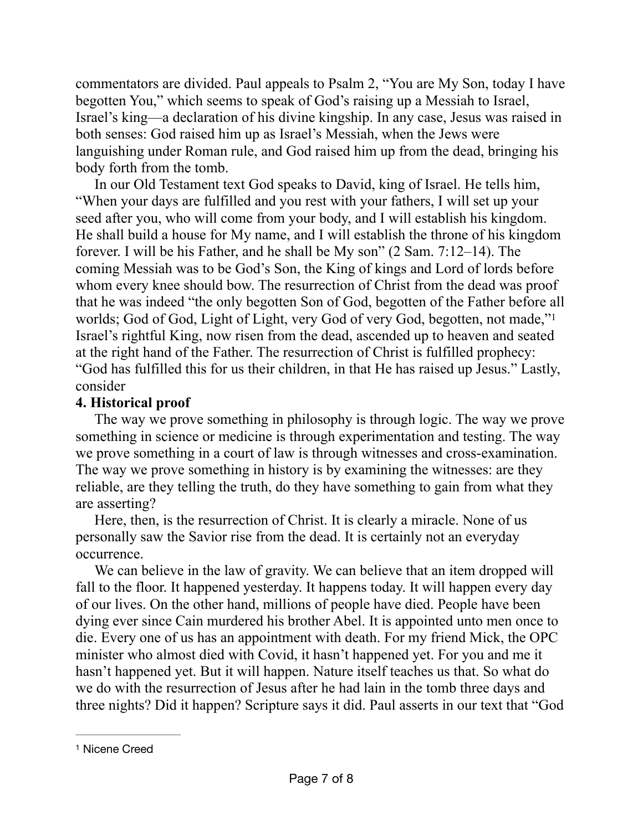commentators are divided. Paul appeals to Psalm 2, "You are My Son, today I have begotten You," which seems to speak of God's raising up a Messiah to Israel, Israel's king—a declaration of his divine kingship. In any case, Jesus was raised in both senses: God raised him up as Israel's Messiah, when the Jews were languishing under Roman rule, and God raised him up from the dead, bringing his body forth from the tomb.

In our Old Testament text God speaks to David, king of Israel. He tells him, "When your days are fulfilled and you rest with your fathers, I will set up your seed after you, who will come from your body, and I will establish his kingdom. He shall build a house for My name, and I will establish the throne of his kingdom forever. I will be his Father, and he shall be My son" (2 Sam. 7:12–14). The coming Messiah was to be God's Son, the King of kings and Lord of lords before whom every knee should bow. The resurrection of Christ from the dead was proof that he was indeed "the only begotten Son of God, begotten of the Father before all worlds; God of God, Light of Light, very God of very God, begotten, not made,"[1](#page-6-0) Israel's rightful King, now risen from the dead, ascended up to heaven and seated at the right hand of the Father. The resurrection of Christ is fulfilled prophecy: "God has fulfilled this for us their children, in that He has raised up Jesus." Lastly, consider

## <span id="page-6-1"></span>**4. Historical proof**

The way we prove something in philosophy is through logic. The way we prove something in science or medicine is through experimentation and testing. The way we prove something in a court of law is through witnesses and cross-examination. The way we prove something in history is by examining the witnesses: are they reliable, are they telling the truth, do they have something to gain from what they are asserting?

Here, then, is the resurrection of Christ. It is clearly a miracle. None of us personally saw the Savior rise from the dead. It is certainly not an everyday occurrence.

We can believe in the law of gravity. We can believe that an item dropped will fall to the floor. It happened yesterday. It happens today. It will happen every day of our lives. On the other hand, millions of people have died. People have been dying ever since Cain murdered his brother Abel. It is appointed unto men once to die. Every one of us has an appointment with death. For my friend Mick, the OPC minister who almost died with Covid, it hasn't happened yet. For you and me it hasn't happened yet. But it will happen. Nature itself teaches us that. So what do we do with the resurrection of Jesus after he had lain in the tomb three days and three nights? Did it happen? Scripture says it did. Paul asserts in our text that "God

<span id="page-6-0"></span>[<sup>1</sup>](#page-6-1) Nicene Creed